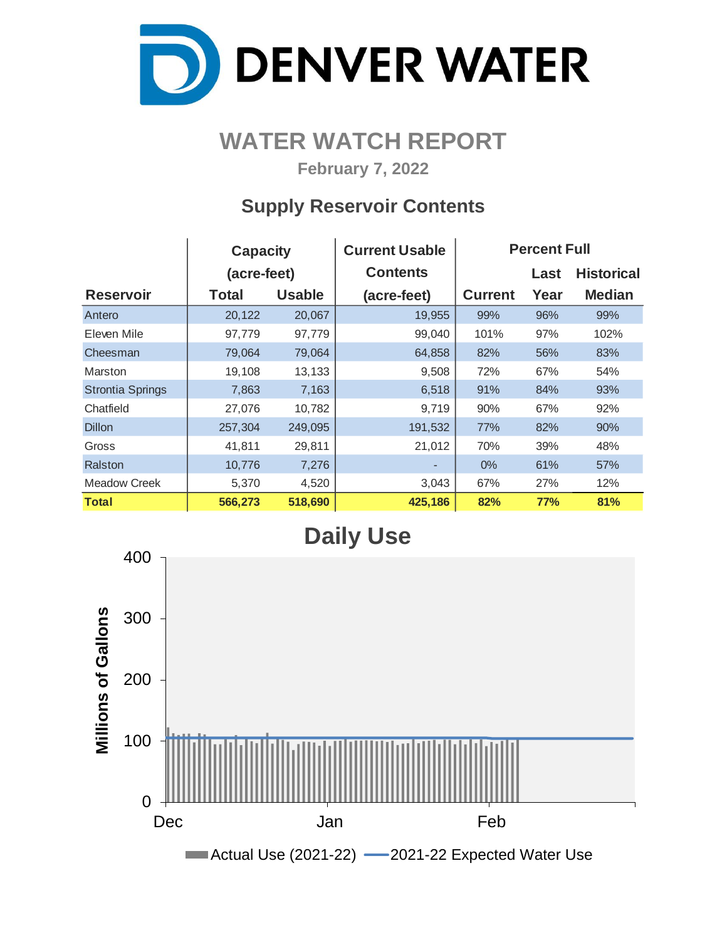

# **WATER WATCH REPORT**

**February 7, 2022**

## **Supply Reservoir Contents**

|                         | <b>Capacity</b> |               | <b>Current Usable</b> | <b>Percent Full</b> |      |                   |  |  |  |
|-------------------------|-----------------|---------------|-----------------------|---------------------|------|-------------------|--|--|--|
|                         | (acre-feet)     |               | <b>Contents</b>       |                     | Last | <b>Historical</b> |  |  |  |
| <b>Reservoir</b>        | <b>Total</b>    | <b>Usable</b> | (acre-feet)           | <b>Current</b>      | Year | <b>Median</b>     |  |  |  |
| Antero                  | 20,122          | 20,067        | 19,955                | 99%                 | 96%  | 99%               |  |  |  |
| Eleven Mile             | 97,779          | 97,779        | 99,040                | 101%                | 97%  | 102%              |  |  |  |
| Cheesman                | 79,064          | 79,064        | 64,858                | 82%                 | 56%  | 83%               |  |  |  |
| Marston                 | 19,108          | 13,133        | 9,508                 | 72%                 | 67%  | 54%               |  |  |  |
| <b>Strontia Springs</b> | 7,863           | 7,163         | 6,518                 | 91%                 | 84%  | 93%               |  |  |  |
| Chatfield               | 27,076          | 10,782        | 9,719                 | 90%                 | 67%  | 92%               |  |  |  |
| <b>Dillon</b>           | 257,304         | 249,095       | 191,532               | 77%                 | 82%  | 90%               |  |  |  |
| Gross                   | 41,811          | 29,811        | 21,012                | 70%                 | 39%  | 48%               |  |  |  |
| Ralston                 | 10,776          | 7,276         |                       | $0\%$               | 61%  | 57%               |  |  |  |
| Meadow Creek            | 5,370           | 4,520         | 3,043                 | 67%                 | 27%  | 12%               |  |  |  |
| <b>Total</b>            | 566,273         | 518,690       | 425,186               | 82%                 | 77%  | 81%               |  |  |  |

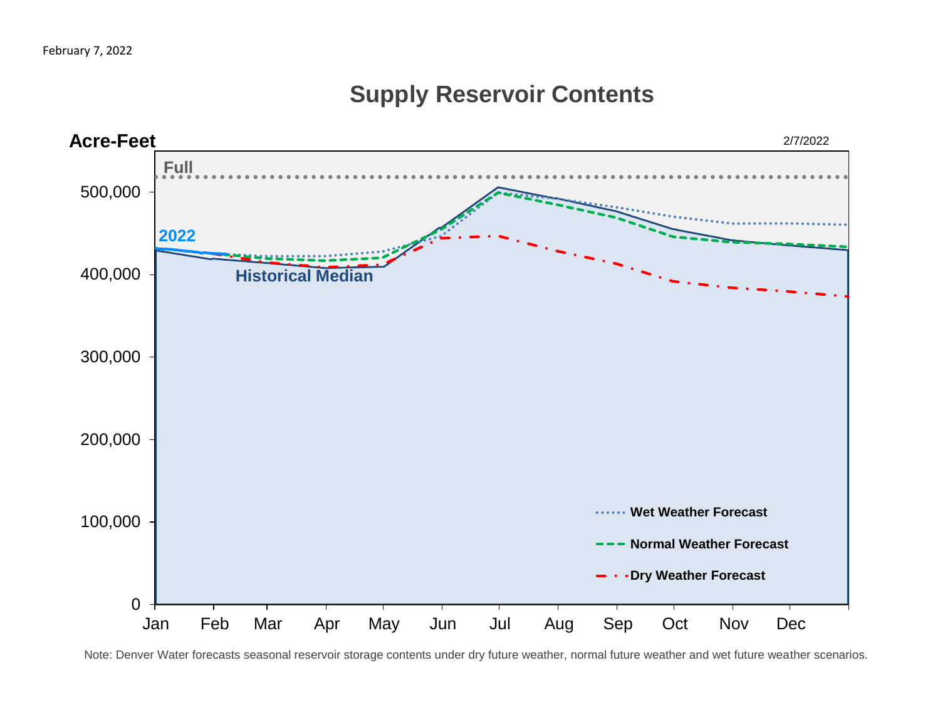# 0 100,000 200,000 300,000 400,000 500,000 Jan Feb Mar Apr May Jun Jul Aug Sep Oct Nov Dec **Acre-Feet Wet Weather Forecast Normal Weather Forecast Dry Weather Forecast 2022 Historical Median Full** 2/7/2022

## **Supply Reservoir Contents**

Note: Denver Water forecasts seasonal reservoir storage contents under dry future weather, normal future weather and wet future weather scenarios.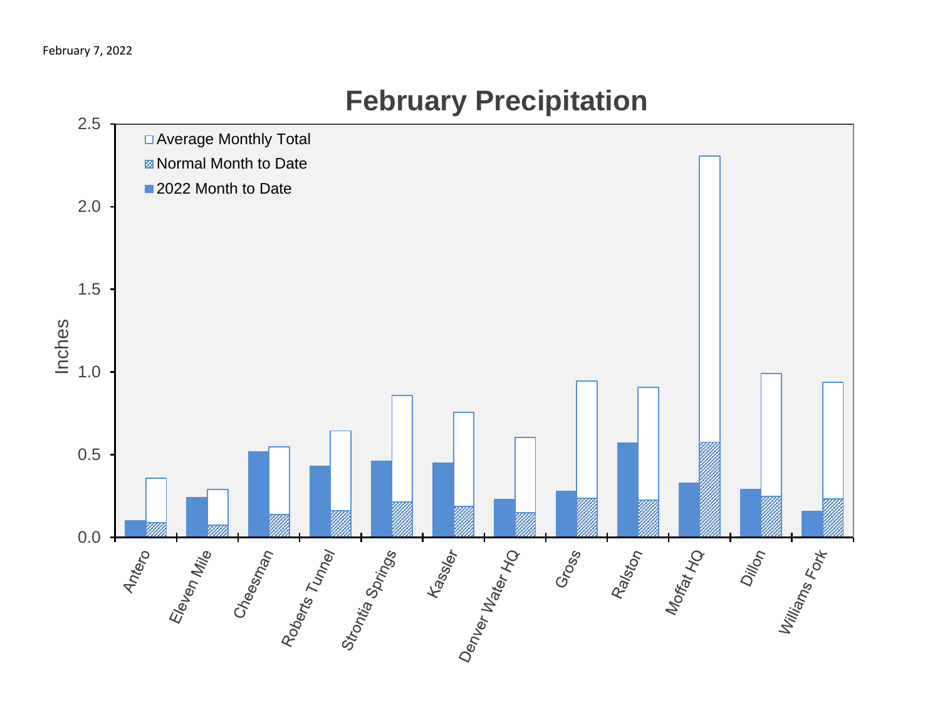

# **February Precipitation**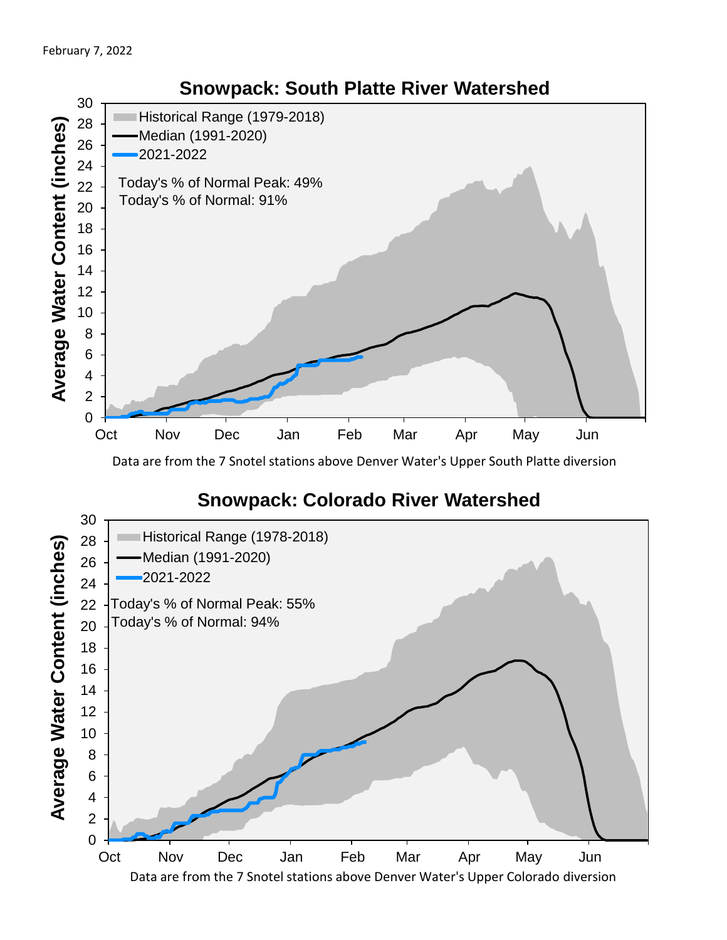

Data are from the 7 Snotel stations above Denver Water's Upper South Platte diversion

#### **Snowpack: Colorado River Watershed**

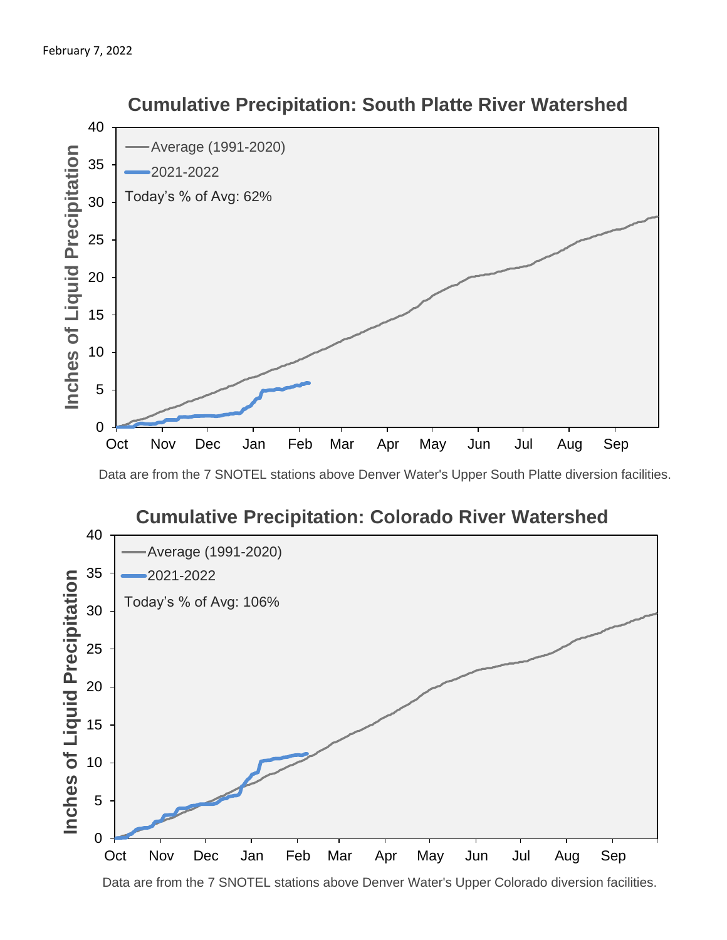

 **Cumulative Precipitation: South Platte River Watershed**

Data are from the 7 SNOTEL stations above Denver Water's Upper South Platte diversion facilities.



Data are from the 7 SNOTEL stations above Denver Water's Upper Colorado diversion facilities.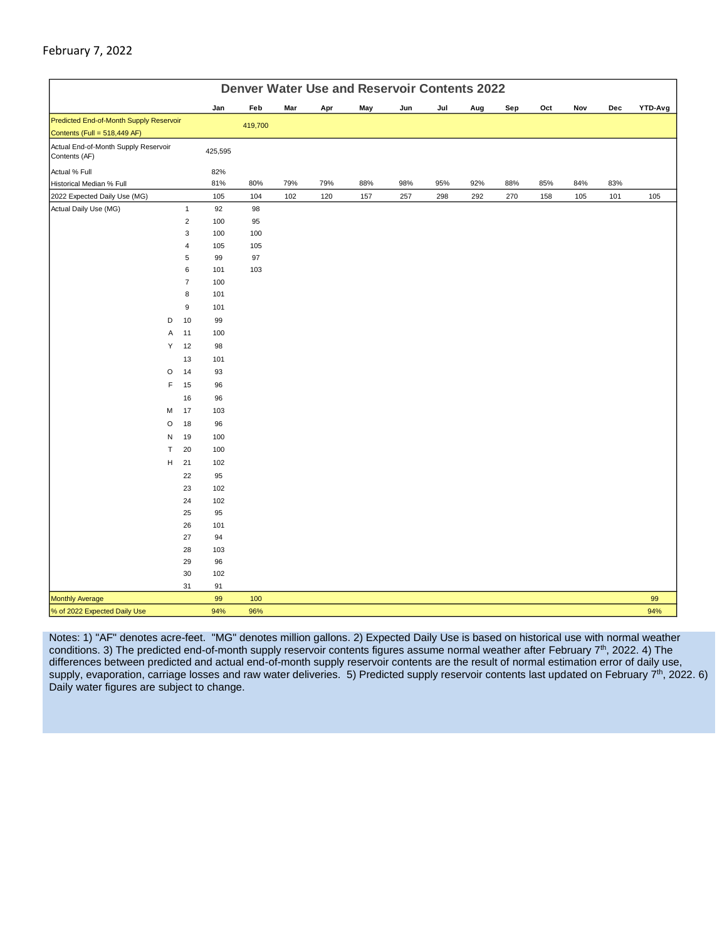#### February 7, 2022

| <b>Denver Water Use and Reservoir Contents 2022</b>                     |         |                     |            |         |     |     |     |     |     |     |     |     |     |     |         |
|-------------------------------------------------------------------------|---------|---------------------|------------|---------|-----|-----|-----|-----|-----|-----|-----|-----|-----|-----|---------|
|                                                                         |         |                     | Jan        | Feb     | Mar | Apr | May | Jun | Jul | Aug | Sep | Oct | Nov | Dec | YTD-Avg |
| Predicted End-of-Month Supply Reservoir<br>Contents (Full = 518,449 AF) |         |                     |            | 419,700 |     |     |     |     |     |     |     |     |     |     |         |
| Actual End-of-Month Supply Reservoir<br>Contents (AF)                   |         |                     | 425,595    |         |     |     |     |     |     |     |     |     |     |     |         |
| Actual % Full                                                           |         |                     | 82%        |         |     |     |     |     |     |     |     |     |     |     |         |
| Historical Median % Full                                                |         |                     | 81%        | 80%     | 79% | 79% | 88% | 98% | 95% | 92% | 88% | 85% | 84% | 83% |         |
| 2022 Expected Daily Use (MG)                                            |         |                     | 105        | 104     | 102 | 120 | 157 | 257 | 298 | 292 | 270 | 158 | 105 | 101 | 105     |
| Actual Daily Use (MG)                                                   |         | $\mathbf{1}$        | 92         | 98      |     |     |     |     |     |     |     |     |     |     |         |
|                                                                         |         | $\overline{c}$      | 100        | 95      |     |     |     |     |     |     |     |     |     |     |         |
|                                                                         |         | 3                   | 100        | 100     |     |     |     |     |     |     |     |     |     |     |         |
|                                                                         |         | 4                   | 105        | 105     |     |     |     |     |     |     |     |     |     |     |         |
|                                                                         |         | 5                   | 99         | 97      |     |     |     |     |     |     |     |     |     |     |         |
|                                                                         |         | 6<br>$\overline{7}$ | 101<br>100 | 103     |     |     |     |     |     |     |     |     |     |     |         |
|                                                                         |         | 8                   | 101        |         |     |     |     |     |     |     |     |     |     |     |         |
|                                                                         |         | 9                   | 101        |         |     |     |     |     |     |     |     |     |     |     |         |
|                                                                         | D       | 10                  | 99         |         |     |     |     |     |     |     |     |     |     |     |         |
|                                                                         | Α       | 11                  | 100        |         |     |     |     |     |     |     |     |     |     |     |         |
|                                                                         | Υ       | 12                  | 98         |         |     |     |     |     |     |     |     |     |     |     |         |
|                                                                         |         | 13                  | 101        |         |     |     |     |     |     |     |     |     |     |     |         |
|                                                                         | $\circ$ | 14                  | 93         |         |     |     |     |     |     |     |     |     |     |     |         |
|                                                                         | F       | 15                  | 96         |         |     |     |     |     |     |     |     |     |     |     |         |
|                                                                         |         | 16                  | 96         |         |     |     |     |     |     |     |     |     |     |     |         |
|                                                                         | М       | 17                  | 103        |         |     |     |     |     |     |     |     |     |     |     |         |
|                                                                         | $\circ$ | 18                  | 96         |         |     |     |     |     |     |     |     |     |     |     |         |
|                                                                         | N       | 19                  | 100        |         |     |     |     |     |     |     |     |     |     |     |         |
|                                                                         | T       | 20                  | 100        |         |     |     |     |     |     |     |     |     |     |     |         |
|                                                                         | н       | 21                  | 102        |         |     |     |     |     |     |     |     |     |     |     |         |
|                                                                         |         | 22                  | 95         |         |     |     |     |     |     |     |     |     |     |     |         |
|                                                                         |         | 23                  | 102        |         |     |     |     |     |     |     |     |     |     |     |         |
|                                                                         |         | 24                  | 102        |         |     |     |     |     |     |     |     |     |     |     |         |
|                                                                         |         | 25                  | 95         |         |     |     |     |     |     |     |     |     |     |     |         |
|                                                                         |         | 26                  | 101        |         |     |     |     |     |     |     |     |     |     |     |         |
|                                                                         |         | 27                  | 94         |         |     |     |     |     |     |     |     |     |     |     |         |
|                                                                         |         | 28                  | 103        |         |     |     |     |     |     |     |     |     |     |     |         |
|                                                                         |         | 29                  | 96         |         |     |     |     |     |     |     |     |     |     |     |         |
|                                                                         |         | $30\,$              | 102        |         |     |     |     |     |     |     |     |     |     |     |         |
| <b>Monthly Average</b>                                                  |         | 31                  | 91<br>99   | 100     |     |     |     |     |     |     |     |     |     |     | 99      |
| % of 2022 Expected Daily Use                                            |         |                     | 94%        | 96%     |     |     |     |     |     |     |     |     |     |     | 94%     |

Notes: 1) "AF" denotes acre-feet. "MG" denotes million gallons. 2) Expected Daily Use is based on historical use with normal weather conditions. 3) The predicted end-of-month supply reservoir contents figures assume normal weather after February  $7<sup>th</sup>$ , 2022. 4) The differences between predicted and actual end-of-month supply reservoir contents are the result of normal estimation error of daily use, supply, evaporation, carriage losses and raw water deliveries. 5) Predicted supply reservoir contents last updated on February 7<sup>th</sup>, 2022. 6) Daily water figures are subject to change.